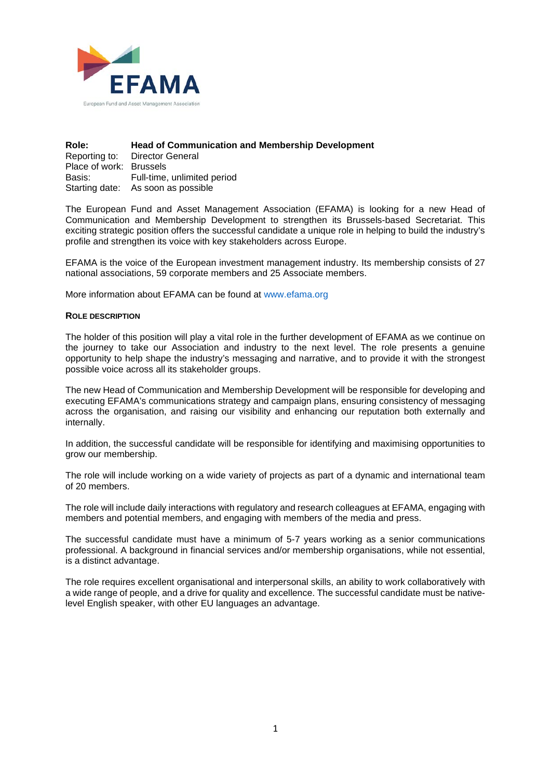

| Role:                                                                                                                                                                                                                          | <b>Head of Communication and Membership Development</b> |
|--------------------------------------------------------------------------------------------------------------------------------------------------------------------------------------------------------------------------------|---------------------------------------------------------|
|                                                                                                                                                                                                                                | Reporting to: Director General                          |
| Place of work: Brussels                                                                                                                                                                                                        |                                                         |
| Basis: and the season of the season in the season of the season in the season of the season of the season of the season of the season of the season of the season of the season of the season of the season of the season of t | Full-time, unlimited period                             |
|                                                                                                                                                                                                                                | Starting date: As soon as possible                      |

The European Fund and Asset Management Association (EFAMA) is looking for a new Head of Communication and Membership Development to strengthen its Brussels-based Secretariat. This exciting strategic position offers the successful candidate a unique role in helping to build the industry's profile and strengthen its voice with key stakeholders across Europe.

EFAMA is the voice of the European investment management industry. Its membership consists of 27 national associations, 59 corporate members and 25 Associate members.

More information about EFAMA can be found at www.efama.org

#### **ROLE DESCRIPTION**

The holder of this position will play a vital role in the further development of EFAMA as we continue on the journey to take our Association and industry to the next level. The role presents a genuine opportunity to help shape the industry's messaging and narrative, and to provide it with the strongest possible voice across all its stakeholder groups.

The new Head of Communication and Membership Development will be responsible for developing and executing EFAMA's communications strategy and campaign plans, ensuring consistency of messaging across the organisation, and raising our visibility and enhancing our reputation both externally and internally.

In addition, the successful candidate will be responsible for identifying and maximising opportunities to grow our membership.

The role will include working on a wide variety of projects as part of a dynamic and international team of 20 members.

The role will include daily interactions with regulatory and research colleagues at EFAMA, engaging with members and potential members, and engaging with members of the media and press.

The successful candidate must have a minimum of 5-7 years working as a senior communications professional. A background in financial services and/or membership organisations, while not essential, is a distinct advantage.

The role requires excellent organisational and interpersonal skills, an ability to work collaboratively with a wide range of people, and a drive for quality and excellence. The successful candidate must be nativelevel English speaker, with other EU languages an advantage.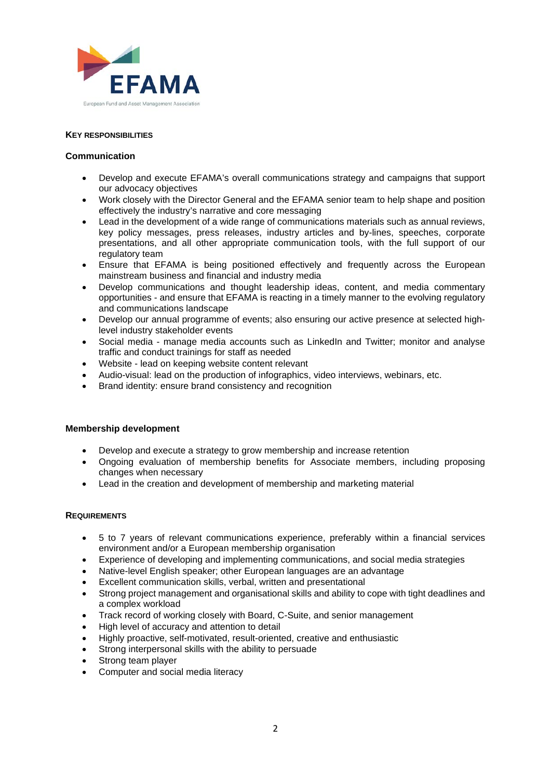

### **KEY RESPONSIBILITIES**

### **Communication**

- Develop and execute EFAMA's overall communications strategy and campaigns that support our advocacy objectives
- Work closely with the Director General and the EFAMA senior team to help shape and position effectively the industry's narrative and core messaging
- Lead in the development of a wide range of communications materials such as annual reviews, key policy messages, press releases, industry articles and by-lines, speeches, corporate presentations, and all other appropriate communication tools, with the full support of our regulatory team
- Ensure that EFAMA is being positioned effectively and frequently across the European mainstream business and financial and industry media
- Develop communications and thought leadership ideas, content, and media commentary opportunities - and ensure that EFAMA is reacting in a timely manner to the evolving regulatory and communications landscape
- Develop our annual programme of events; also ensuring our active presence at selected highlevel industry stakeholder events
- Social media manage media accounts such as LinkedIn and Twitter: monitor and analyse traffic and conduct trainings for staff as needed
- Website lead on keeping website content relevant
- Audio-visual: lead on the production of infographics, video interviews, webinars, etc.
- Brand identity: ensure brand consistency and recognition

# **Membership development**

- Develop and execute a strategy to grow membership and increase retention
- Ongoing evaluation of membership benefits for Associate members, including proposing changes when necessary
- Lead in the creation and development of membership and marketing material

# **REQUIREMENTS**

- 5 to 7 years of relevant communications experience, preferably within a financial services environment and/or a European membership organisation
- Experience of developing and implementing communications, and social media strategies
- Native-level English speaker; other European languages are an advantage
- Excellent communication skills, verbal, written and presentational
- Strong project management and organisational skills and ability to cope with tight deadlines and a complex workload
- Track record of working closely with Board, C-Suite, and senior management
- High level of accuracy and attention to detail
- Highly proactive, self-motivated, result-oriented, creative and enthusiastic
- Strong interpersonal skills with the ability to persuade
- Strong team player
- Computer and social media literacy